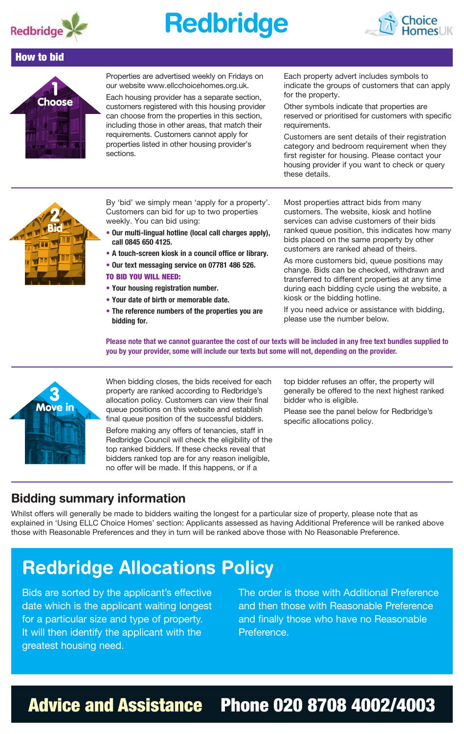

# **Redbridge**



#### How to bid



Properties are advertised weekly on Fridays on our website www.ellcchoicehomes.org.uk. Each housing provider has a separate section,

customers registered with this housing provider can choose from the properties in this section, including those in other areas, that match their requirements. Customers cannot apply for properties listed in other housing provider's sections.

Each property advert includes symbols to indicate the groups of customers that can apply for the property.

Other symbols indicate that properties are reserved or prioritised for customers with specific requirements.

Customers are sent details of their registration category and bedroom requirement when they first register for housing. Please contact your housing provider if you want to check or query these details.



By 'bid' we simply mean 'apply for a property'. Customers can bid for up to two properties weekly. You can bid using:

- **• Our multi-lingual hotline (local call charges apply), call 0845 650 4125.**
- **A touch-screen kiosk in a council office or library.**
- **• Our text messaging service on 07781 486 526.**

#### TO BID YOU WILL NEED:

- **• Your housing registration number.**
- **• Your date of birth or memorable date.**
- **• The reference numbers of the properties you are bidding for.**

Most properties attract bids from many customers. The website, kiosk and hotline services can advise customers of their bids ranked queue position, this indicates how many bids placed on the same property by other customers are ranked ahead of theirs.

As more customers bid, queue positions may change. Bids can be checked, withdrawn and transferred to different properties at any time during each bidding cycle using the website, a kiosk or the bidding hotline.

If you need advice or assistance with bidding, please use the number below.

**Please note that we cannot guarantee the cost of our texts will be included in any free text bundles supplied to you by your provider, some will include our texts but some will not, depending on the provider.**



When bidding closes, the bids received for each property are ranked according to Redbridge's allocation policy. Customers can view their final queue positions on this website and establish final queue position of the successful bidders.

Before making any offers of tenancies, staff in Redbridge Council will check the eligibility of the top ranked bidders. If these checks reveal that bidders ranked top are for any reason ineligible, no offer will be made. If this happens, or if a

top bidder refuses an offer, the property will generally be offered to the next highest ranked bidder who is eligible.

Please see the panel below for Redbridge's specific allocations policy.

#### **Bidding summary information**

Whilst offers will generally be made to bidders waiting the longest for a particular size of property, please note that as explained in 'Using ELLC Choice Homes' section: Applicants assessed as having Additional Preference will be ranked above those with Reasonable Preferences and they in turn will be ranked above those with No Reasonable Preference.

# **Redbridge Allocations Policy**

Bids are sorted by the applicant's effective date which is the applicant waiting longest for a particular size and type of property. It will then identify the applicant with the greatest housing need.

The order is those with Additional Preference and then those with Reasonable Preference and finally those who have no Reasonable Preference.

## Advice and Assistance Phone 020 8708 4002/4003